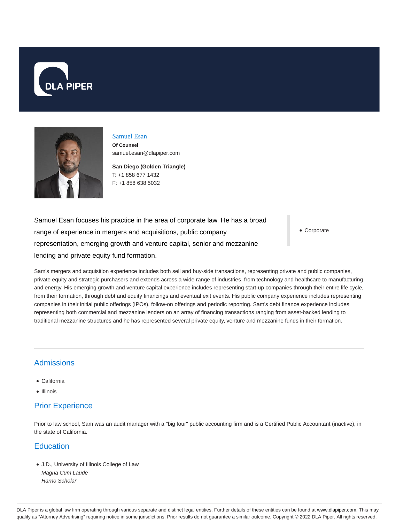



## Samuel Esan

**Of Counsel** samuel.esan@dlapiper.com

**San Diego (Golden Triangle)** T: +1 858 677 1432 F: +1 858 638 5032

Samuel Esan focuses his practice in the area of corporate law. He has a broad range of experience in mergers and acquisitions, public company representation, emerging growth and venture capital, senior and mezzanine lending and private equity fund formation.

Corporate

Sam's mergers and acquisition experience includes both sell and buy-side transactions, representing private and public companies, private equity and strategic purchasers and extends across a wide range of industries, from technology and healthcare to manufacturing and energy. His emerging growth and venture capital experience includes representing start-up companies through their entire life cycle, from their formation, through debt and equity financings and eventual exit events. His public company experience includes representing companies in their initial public offerings (IPOs), follow-on offerings and periodic reporting. Sam's debt finance experience includes representing both commercial and mezzanine lenders on an array of financing transactions ranging from asset-backed lending to traditional mezzanine structures and he has represented several private equity, venture and mezzanine funds in their formation.

# Admissions

- California
- Illinois

# Prior Experience

Prior to law school, Sam was an audit manager with a "big four" public accounting firm and is a Certified Public Accountant (inactive), in the state of California.

## **Education**

J.D., University of Illinois College of Law Magna Cum Laude Harno Scholar

DLA Piper is a global law firm operating through various separate and distinct legal entities. Further details of these entities can be found at www.dlapiper.com. This may qualify as "Attorney Advertising" requiring notice in some jurisdictions. Prior results do not guarantee a similar outcome. Copyright @ 2022 DLA Piper. All rights reserved.